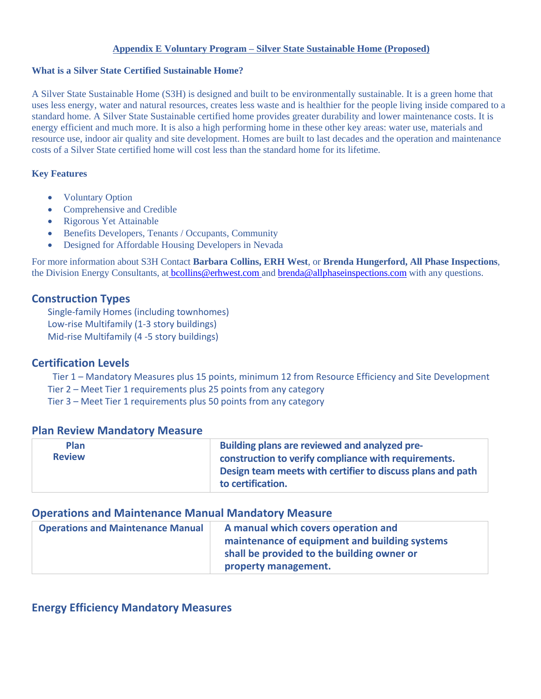#### **Appendix E Voluntary Program – Silver State Sustainable Home (Proposed)**

#### **What is a Silver State Certified Sustainable Home?**

A Silver State Sustainable Home (S3H) is designed and built to be environmentally sustainable. It is a green home that uses less energy, water and natural resources, creates less waste and is healthier for the people living inside compared to a standard home. A Silver State Sustainable certified home provides greater durability and lower maintenance costs. It is energy efficient and much more. It is also a high performing home in these other key areas: water use, materials and resource use, indoor air quality and site development. Homes are built to last decades and the operation and maintenance costs of a Silver State certified home will cost less than the standard home for its lifetime.

#### **Key Features**

- Voluntary Option
- Comprehensive and Credible
- Rigorous Yet Attainable
- Benefits Developers, Tenants / Occupants, Community
- Designed for Affordable Housing Developers in Nevada

For more information about S3H Contact **Barbara Collins, ERH West**, or **Brenda Hungerford, All Phase Inspections**, the Division Energy Consultants, at [bcollins@erhwest.com a](mailto:bcollins@erhwest.com)n[d brenda@allphaseinspections.com](mailto:brenda@allphaseinspections.com) with any questions.

### **Construction Types**

Single-family Homes (including townhomes) Low-rise Multifamily (1-3 story buildings) Mid-rise Multifamily (4 -5 story buildings)

### **Certification Levels**

Tier 1 – Mandatory Measures plus 15 points, minimum 12 from Resource Efficiency and Site Development Tier 2 – Meet Tier 1 requirements plus 25 points from any category

Tier 3 – Meet Tier 1 requirements plus 50 points from any category

### **Plan Review Mandatory Measure**

| <b>Plan</b>   | Building plans are reviewed and analyzed pre-                                   |
|---------------|---------------------------------------------------------------------------------|
| <b>Review</b> | construction to verify compliance with requirements.                            |
|               | Design team meets with certifier to discuss plans and path<br>to certification. |

### **Operations and Maintenance Manual Mandatory Measure**

| <b>Operations and Maintenance Manual</b> | A manual which covers operation and           |
|------------------------------------------|-----------------------------------------------|
|                                          | maintenance of equipment and building systems |
|                                          | shall be provided to the building owner or    |
|                                          | property management.                          |

### **Energy Efficiency Mandatory Measures**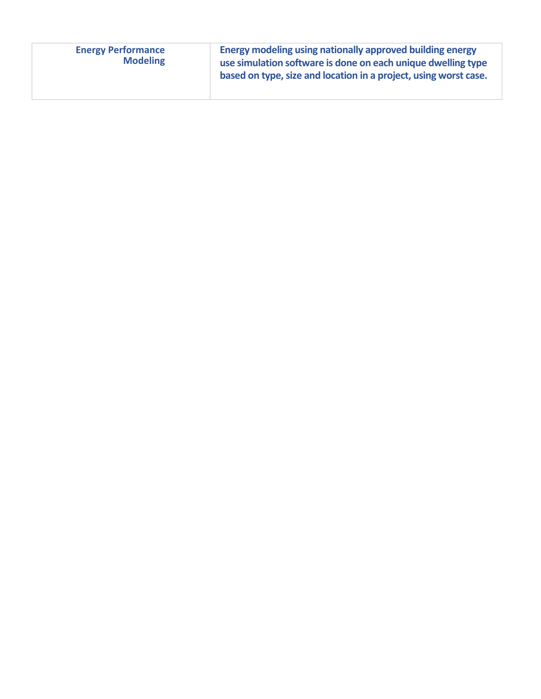| <b>Energy Performance</b><br><b>Modeling</b> | Energy modeling using nationally approved building energy<br>use simulation software is done on each unique dwelling type<br>based on type, size and location in a project, using worst case. |
|----------------------------------------------|-----------------------------------------------------------------------------------------------------------------------------------------------------------------------------------------------|
|                                              |                                                                                                                                                                                               |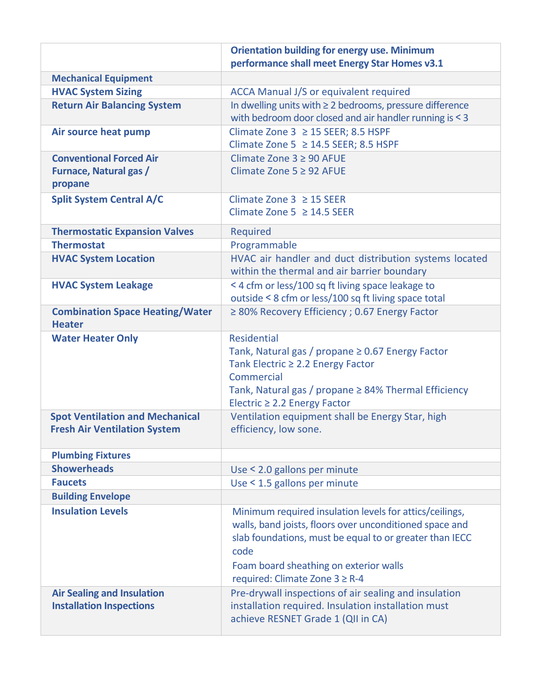|                                                                               | <b>Orientation building for energy use. Minimum</b><br>performance shall meet Energy Star Homes v3.1                                                                                                                                                              |
|-------------------------------------------------------------------------------|-------------------------------------------------------------------------------------------------------------------------------------------------------------------------------------------------------------------------------------------------------------------|
| <b>Mechanical Equipment</b>                                                   |                                                                                                                                                                                                                                                                   |
| <b>HVAC System Sizing</b>                                                     | <b>ACCA Manual J/S or equivalent required</b>                                                                                                                                                                                                                     |
| <b>Return Air Balancing System</b>                                            | In dwelling units with $\geq 2$ bedrooms, pressure difference<br>with bedroom door closed and air handler running is < 3                                                                                                                                          |
| Air source heat pump                                                          | Climate Zone 3 ≥ 15 SEER; 8.5 HSPF<br>Climate Zone 5 ≥ 14.5 SEER; 8.5 HSPF                                                                                                                                                                                        |
| <b>Conventional Forced Air</b><br><b>Furnace, Natural gas /</b><br>propane    | Climate Zone $3 \geq 90$ AFUE<br>Climate Zone $5 \geq 92$ AFUE                                                                                                                                                                                                    |
| <b>Split System Central A/C</b>                                               | Climate Zone $3 \ge 15$ SEER<br>Climate Zone 5 $\geq$ 14.5 SEER                                                                                                                                                                                                   |
| <b>Thermostatic Expansion Valves</b>                                          | Required                                                                                                                                                                                                                                                          |
| <b>Thermostat</b>                                                             | Programmable                                                                                                                                                                                                                                                      |
| <b>HVAC System Location</b>                                                   | HVAC air handler and duct distribution systems located<br>within the thermal and air barrier boundary                                                                                                                                                             |
| <b>HVAC System Leakage</b>                                                    | < 4 cfm or less/100 sq ft living space leakage to<br>outside < 8 cfm or less/100 sq ft living space total                                                                                                                                                         |
| <b>Combination Space Heating/Water</b><br><b>Heater</b>                       | ≥ 80% Recovery Efficiency ; 0.67 Energy Factor                                                                                                                                                                                                                    |
| <b>Water Heater Only</b>                                                      | <b>Residential</b><br>Tank, Natural gas / propane $\geq$ 0.67 Energy Factor<br>Tank Electric ≥ 2.2 Energy Factor<br>Commercial<br>Tank, Natural gas / propane $\geq$ 84% Thermal Efficiency<br>Electric $\geq$ 2.2 Energy Factor                                  |
| <b>Spot Ventilation and Mechanical</b><br><b>Fresh Air Ventilation System</b> | Ventilation equipment shall be Energy Star, high<br>efficiency, low sone.                                                                                                                                                                                         |
| <b>Plumbing Fixtures</b>                                                      |                                                                                                                                                                                                                                                                   |
| <b>Showerheads</b>                                                            | Use < 2.0 gallons per minute                                                                                                                                                                                                                                      |
| <b>Faucets</b>                                                                | Use < 1.5 gallons per minute                                                                                                                                                                                                                                      |
| <b>Building Envelope</b>                                                      |                                                                                                                                                                                                                                                                   |
| <b>Insulation Levels</b>                                                      | Minimum required insulation levels for attics/ceilings,<br>walls, band joists, floors over unconditioned space and<br>slab foundations, must be equal to or greater than IECC<br>code<br>Foam board sheathing on exterior walls<br>required: Climate Zone 3 ≥ R-4 |
| <b>Air Sealing and Insulation</b><br><b>Installation Inspections</b>          | Pre-drywall inspections of air sealing and insulation<br>installation required. Insulation installation must<br>achieve RESNET Grade 1 (QII in CA)                                                                                                                |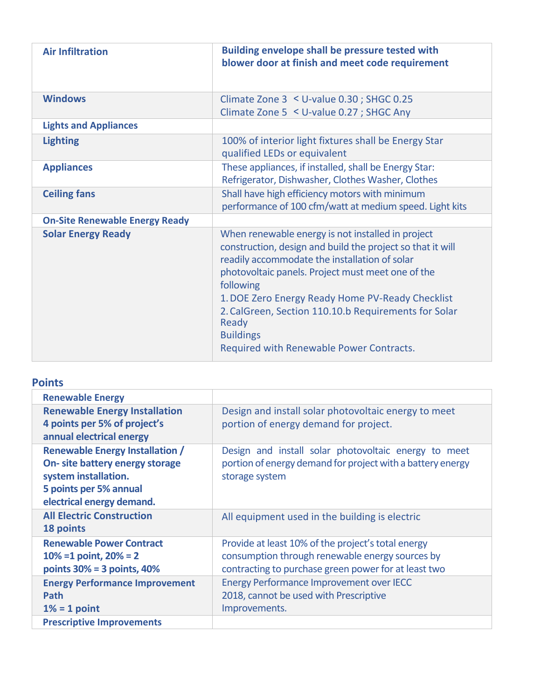| <b>Air Infiltration</b>               | <b>Building envelope shall be pressure tested with</b><br>blower door at finish and meet code requirement                                                                                                                                                                                                                                                                                                               |
|---------------------------------------|-------------------------------------------------------------------------------------------------------------------------------------------------------------------------------------------------------------------------------------------------------------------------------------------------------------------------------------------------------------------------------------------------------------------------|
| <b>Windows</b>                        | Climate Zone 3 < U-value 0.30; SHGC 0.25<br>Climate Zone 5 < U-value 0.27 ; SHGC Any                                                                                                                                                                                                                                                                                                                                    |
| <b>Lights and Appliances</b>          |                                                                                                                                                                                                                                                                                                                                                                                                                         |
| <b>Lighting</b>                       | 100% of interior light fixtures shall be Energy Star<br>qualified LEDs or equivalent                                                                                                                                                                                                                                                                                                                                    |
| <b>Appliances</b>                     | These appliances, if installed, shall be Energy Star:<br>Refrigerator, Dishwasher, Clothes Washer, Clothes                                                                                                                                                                                                                                                                                                              |
| <b>Ceiling fans</b>                   | Shall have high efficiency motors with minimum<br>performance of 100 cfm/watt at medium speed. Light kits                                                                                                                                                                                                                                                                                                               |
| <b>On-Site Renewable Energy Ready</b> |                                                                                                                                                                                                                                                                                                                                                                                                                         |
| <b>Solar Energy Ready</b>             | When renewable energy is not installed in project<br>construction, design and build the project so that it will<br>readily accommodate the installation of solar<br>photovoltaic panels. Project must meet one of the<br>following<br>1. DOE Zero Energy Ready Home PV-Ready Checklist<br>2. CalGreen, Section 110.10.b Requirements for Solar<br>Ready<br><b>Buildings</b><br>Required with Renewable Power Contracts. |

# **Points**

| <b>Renewable Energy</b>                                                                                                                                  |                                                                                                                                                               |
|----------------------------------------------------------------------------------------------------------------------------------------------------------|---------------------------------------------------------------------------------------------------------------------------------------------------------------|
| <b>Renewable Energy Installation</b><br>4 points per 5% of project's<br>annual electrical energy                                                         | Design and install solar photovoltaic energy to meet<br>portion of energy demand for project.                                                                 |
| <b>Renewable Energy Installation /</b><br>On- site battery energy storage<br>system installation.<br>5 points per 5% annual<br>electrical energy demand. | Design and install solar photovoltaic energy to meet<br>portion of energy demand for project with a battery energy<br>storage system                          |
| <b>All Electric Construction</b><br>18 points                                                                                                            | All equipment used in the building is electric                                                                                                                |
| <b>Renewable Power Contract</b><br>$10\% = 1$ point, $20\% = 2$<br>points $30\% = 3$ points, $40\%$                                                      | Provide at least 10% of the project's total energy<br>consumption through renewable energy sources by<br>contracting to purchase green power for at least two |
| <b>Energy Performance Improvement</b><br>Path<br>$1\% = 1$ point                                                                                         | <b>Energy Performance Improvement over IECC</b><br>2018, cannot be used with Prescriptive<br>Improvements.                                                    |
| <b>Prescriptive Improvements</b>                                                                                                                         |                                                                                                                                                               |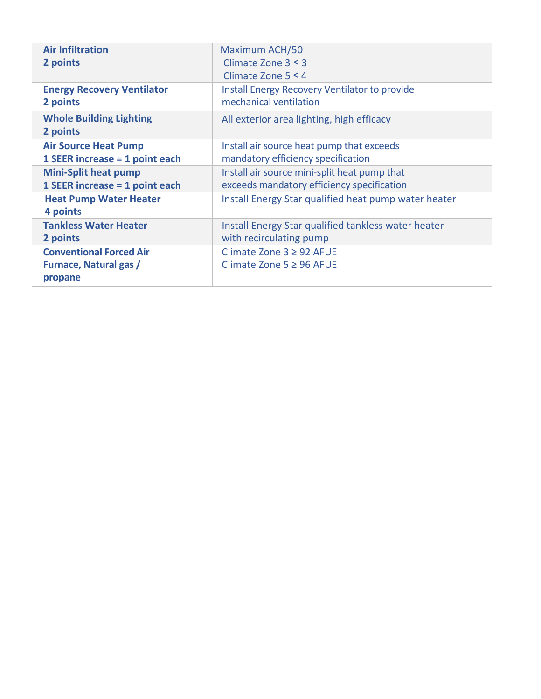| <b>Air Infiltration</b>                                             | Maximum ACH/50                                                 |
|---------------------------------------------------------------------|----------------------------------------------------------------|
| 2 points                                                            | Climate Zone $3 < 3$                                           |
|                                                                     | Climate Zone $5 < 4$                                           |
| <b>Energy Recovery Ventilator</b>                                   | <b>Install Energy Recovery Ventilator to provide</b>           |
| 2 points                                                            | mechanical ventilation                                         |
| <b>Whole Building Lighting</b><br>2 points                          | All exterior area lighting, high efficacy                      |
| <b>Air Source Heat Pump</b>                                         | Install air source heat pump that exceeds                      |
| 1 SEER increase = 1 point each                                      | mandatory efficiency specification                             |
| <b>Mini-Split heat pump</b>                                         | Install air source mini-split heat pump that                   |
| 1 SEER increase = 1 point each                                      | exceeds mandatory efficiency specification                     |
| <b>Heat Pump Water Heater</b><br>4 points                           | Install Energy Star qualified heat pump water heater           |
| <b>Tankless Water Heater</b>                                        | Install Energy Star qualified tankless water heater            |
| 2 points                                                            | with recirculating pump                                        |
| <b>Conventional Forced Air</b><br>Furnace, Natural gas /<br>propane | Climate Zone $3 \geq 92$ AFUE<br>Climate Zone $5 \geq 96$ AFUE |
|                                                                     |                                                                |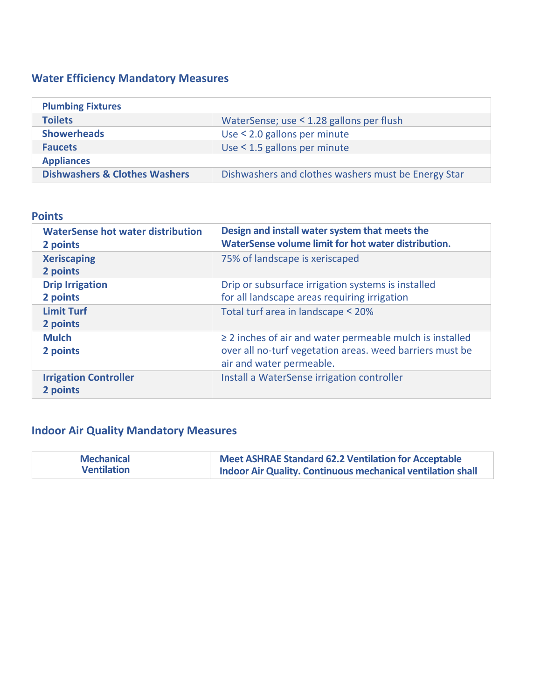# **Water Efficiency Mandatory Measures**

| <b>Plumbing Fixtures</b>                 |                                                     |
|------------------------------------------|-----------------------------------------------------|
| <b>Toilets</b>                           | WaterSense; use < 1.28 gallons per flush            |
| <b>Showerheads</b>                       | Use < 2.0 gallons per minute                        |
| <b>Faucets</b>                           | Use < 1.5 gallons per minute                        |
| <b>Appliances</b>                        |                                                     |
| <b>Dishwashers &amp; Clothes Washers</b> | Dishwashers and clothes washers must be Energy Star |

### **Points**

| <b>WaterSense hot water distribution</b><br>2 points    | Design and install water system that meets the<br>WaterSense volume limit for hot water distribution.                                                 |
|---------------------------------------------------------|-------------------------------------------------------------------------------------------------------------------------------------------------------|
| <b>Xeriscaping</b><br>2 points                          | 75% of landscape is xeriscaped                                                                                                                        |
| <b>Drip Irrigation</b><br>2 points<br><b>Limit Turf</b> | Drip or subsurface irrigation systems is installed<br>for all landscape areas requiring irrigation<br>Total turf area in landscape < 20%              |
| 2 points                                                |                                                                                                                                                       |
| <b>Mulch</b><br>2 points                                | $\geq$ 2 inches of air and water permeable mulch is installed<br>over all no-turf vegetation areas. weed barriers must be<br>air and water permeable. |
| <b>Irrigation Controller</b><br>2 points                | Install a WaterSense irrigation controller                                                                                                            |

# **Indoor Air Quality Mandatory Measures**

| <b>Mechanical</b>  | <b>Meet ASHRAE Standard 62.2 Ventilation for Acceptable</b>        |
|--------------------|--------------------------------------------------------------------|
| <b>Ventilation</b> | <b>Indoor Air Quality. Continuous mechanical ventilation shall</b> |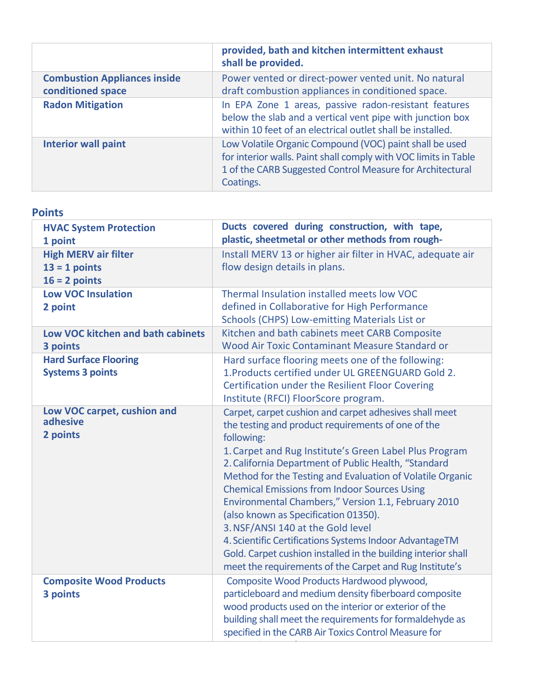|                                                          | provided, bath and kitchen intermittent exhaust<br>shall be provided.                                                                                                                                |
|----------------------------------------------------------|------------------------------------------------------------------------------------------------------------------------------------------------------------------------------------------------------|
| <b>Combustion Appliances inside</b><br>conditioned space | Power vented or direct-power vented unit. No natural<br>draft combustion appliances in conditioned space.                                                                                            |
| <b>Radon Mitigation</b>                                  | In EPA Zone 1 areas, passive radon-resistant features<br>below the slab and a vertical vent pipe with junction box<br>within 10 feet of an electrical outlet shall be installed.                     |
| <b>Interior wall paint</b>                               | Low Volatile Organic Compound (VOC) paint shall be used<br>for interior walls. Paint shall comply with VOC limits in Table<br>1 of the CARB Suggested Control Measure for Architectural<br>Coatings. |

| <b>HVAC System Protection</b><br>1 point                          | Ducts covered during construction, with tape,<br>plastic, sheetmetal or other methods from rough-                                                                                                                                                                                                                                                                                                                                                                                                                                                                                                                                                                                           |
|-------------------------------------------------------------------|---------------------------------------------------------------------------------------------------------------------------------------------------------------------------------------------------------------------------------------------------------------------------------------------------------------------------------------------------------------------------------------------------------------------------------------------------------------------------------------------------------------------------------------------------------------------------------------------------------------------------------------------------------------------------------------------|
| <b>High MERV air filter</b><br>$13 = 1$ points<br>$16 = 2$ points | Install MERV 13 or higher air filter in HVAC, adequate air<br>flow design details in plans.                                                                                                                                                                                                                                                                                                                                                                                                                                                                                                                                                                                                 |
| <b>Low VOC Insulation</b><br>2 point                              | Thermal Insulation installed meets low VOC<br>defined in Collaborative for High Performance<br>Schools (CHPS) Low-emitting Materials List or                                                                                                                                                                                                                                                                                                                                                                                                                                                                                                                                                |
| <b>Low VOC kitchen and bath cabinets</b><br>3 points              | Kitchen and bath cabinets meet CARB Composite<br>Wood Air Toxic Contaminant Measure Standard or                                                                                                                                                                                                                                                                                                                                                                                                                                                                                                                                                                                             |
| <b>Hard Surface Flooring</b><br><b>Systems 3 points</b>           | Hard surface flooring meets one of the following:<br>1. Products certified under UL GREENGUARD Gold 2.<br><b>Certification under the Resilient Floor Covering</b><br>Institute (RFCI) FloorScore program.                                                                                                                                                                                                                                                                                                                                                                                                                                                                                   |
| Low VOC carpet, cushion and<br>adhesive<br>2 points               | Carpet, carpet cushion and carpet adhesives shall meet<br>the testing and product requirements of one of the<br>following:<br>1. Carpet and Rug Institute's Green Label Plus Program<br>2. California Department of Public Health, "Standard<br>Method for the Testing and Evaluation of Volatile Organic<br><b>Chemical Emissions from Indoor Sources Using</b><br>Environmental Chambers," Version 1.1, February 2010<br>(also known as Specification 01350).<br>3. NSF/ANSI 140 at the Gold level<br>4. Scientific Certifications Systems Indoor AdvantageTM<br>Gold. Carpet cushion installed in the building interior shall<br>meet the requirements of the Carpet and Rug Institute's |
| <b>Composite Wood Products</b><br>3 points                        | Composite Wood Products Hardwood plywood,<br>particleboard and medium density fiberboard composite<br>wood products used on the interior or exterior of the<br>building shall meet the requirements for formaldehyde as<br>specified in the CARB Air Toxics Control Measure for                                                                                                                                                                                                                                                                                                                                                                                                             |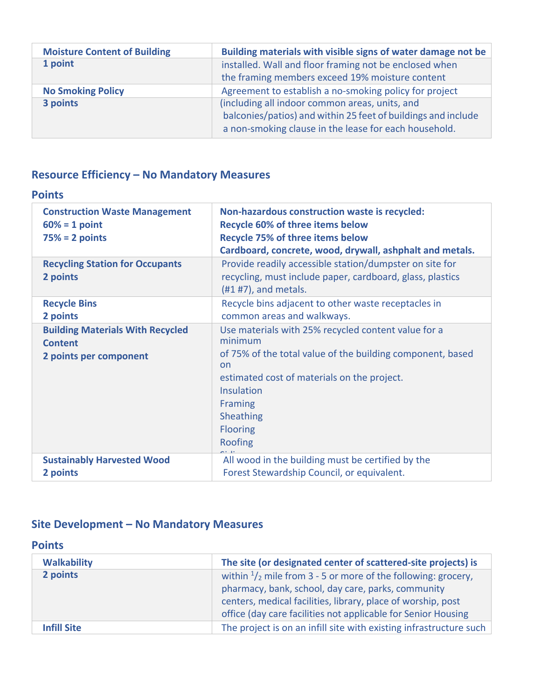| <b>Moisture Content of Building</b> | Building materials with visible signs of water damage not be  |
|-------------------------------------|---------------------------------------------------------------|
| 1 point                             | installed. Wall and floor framing not be enclosed when        |
|                                     | the framing members exceed 19% moisture content               |
| <b>No Smoking Policy</b>            | Agreement to establish a no-smoking policy for project        |
| 3 points                            | (including all indoor common areas, units, and                |
|                                     | balconies/patios) and within 25 feet of buildings and include |
|                                     | a non-smoking clause in the lease for each household.         |

# **Resource Efficiency – No Mandatory Measures**

### **Points**

| <b>Construction Waste Management</b><br>$60\% = 1$ point<br>$75% = 2 points$        | Non-hazardous construction waste is recycled:<br><b>Recycle 60% of three items below</b><br><b>Recycle 75% of three items below</b><br>Cardboard, concrete, wood, drywall, ashphalt and metals.                                                              |
|-------------------------------------------------------------------------------------|--------------------------------------------------------------------------------------------------------------------------------------------------------------------------------------------------------------------------------------------------------------|
| <b>Recycling Station for Occupants</b><br>2 points                                  | Provide readily accessible station/dumpster on site for<br>recycling, must include paper, cardboard, glass, plastics<br>$(H1 H7)$ , and metals.                                                                                                              |
| <b>Recycle Bins</b><br>2 points                                                     | Recycle bins adjacent to other waste receptacles in<br>common areas and walkways.                                                                                                                                                                            |
| <b>Building Materials With Recycled</b><br><b>Content</b><br>2 points per component | Use materials with 25% recycled content value for a<br>minimum<br>of 75% of the total value of the building component, based<br><b>on</b><br>estimated cost of materials on the project.<br>Insulation<br>Framing<br>Sheathing<br><b>Flooring</b><br>Roofing |
| <b>Sustainably Harvested Wood</b><br>2 points                                       | All wood in the building must be certified by the<br>Forest Stewardship Council, or equivalent.                                                                                                                                                              |

# **Site Development – No Mandatory Measures**

### **Points**

| <b>Walkability</b> | The site (or designated center of scattered-site projects) is                                                                                                                                                                                                  |
|--------------------|----------------------------------------------------------------------------------------------------------------------------------------------------------------------------------------------------------------------------------------------------------------|
| 2 points           | within $\frac{1}{2}$ mile from 3 - 5 or more of the following: grocery,<br>pharmacy, bank, school, day care, parks, community<br>centers, medical facilities, library, place of worship, post<br>office (day care facilities not applicable for Senior Housing |
| <b>Infill Site</b> | The project is on an infill site with existing infrastructure such                                                                                                                                                                                             |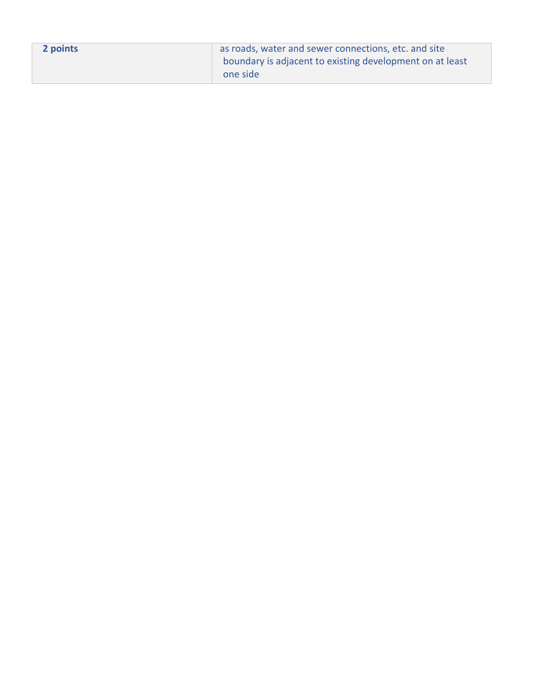| 2 points | as roads, water and sewer connections, etc. and site     |
|----------|----------------------------------------------------------|
|          | boundary is adjacent to existing development on at least |
|          | one side                                                 |
|          |                                                          |